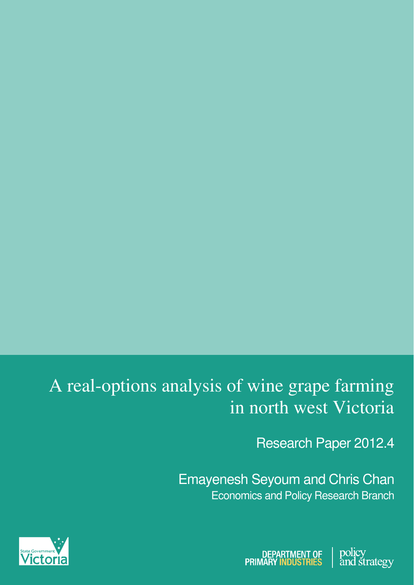# A real-options analysis of wine grape farming in north west Victoria

Research Paper 2012.4

Emayenesh Seyoum and Chris Chan Economics and Policy Research Branch



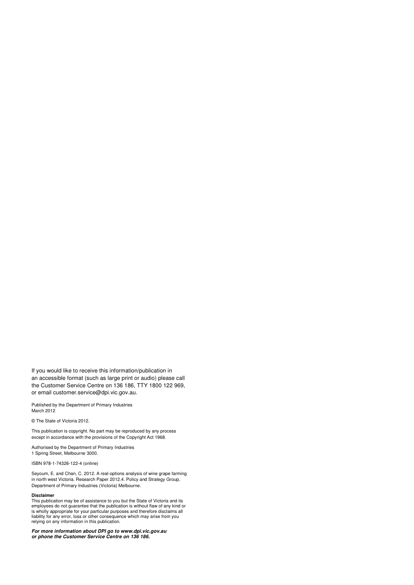If you would like to receive this information/publication in an accessible format (such as large print or audio) please call the Customer Service Centre on 136 186, TTY 1800 122 969, or email customer.service@dpi.vic.gov.au.

Published by the Department of Primary Industries March 2012

© The State of Victoria 2012.

This publication is copyright. No part may be reproduced by any process except in accordance with the provisions of the Copyright Act 1968.

Authorised by the Department of Primary Industries 1 Spring Street, Melbourne 3000.

ISBN 978-1-74326-122-4 (online)

Seyoum, E. and Chan, C. 2012. A real-options analysis of wine grape farming in north west Victoria. Research Paper 2012.4. Policy and Strategy Group, Department of Primary Industries (Victoria) Melbourne.

#### **Disclaimer**

This publication may be of assistance to you but the State of Victoria and its<br>employees do not guarantee that the publication is without flaw of any kind or<br>is wholly appropriate for your particular purposes and therefore

**For more information about DPI go to www.dpi.vic.gov.au or phone the Customer Service Centre on 136 186.**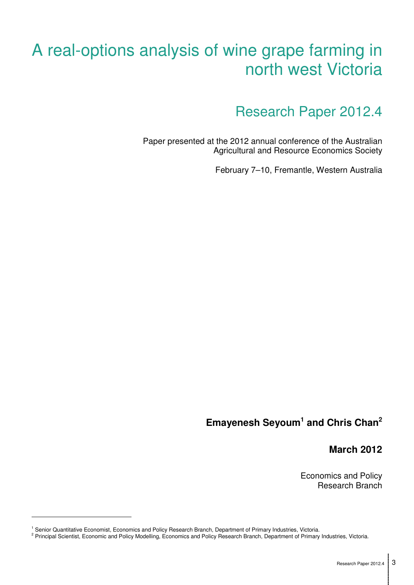# A real-options analysis of wine grape farming in north west Victoria

Research Paper 2012.4

Paper presented at the 2012 annual conference of the Australian Agricultural and Resource Economics Society

February 7–10, Fremantle, Western Australia

# **Emayenesh Seyoum<sup>1</sup> and Chris Chan<sup>2</sup>**

**March 2012**

Economics and Policy Research Branch

-

<sup>1</sup> Senior Quantitative Economist, Economics and Policy Research Branch, Department of Primary Industries, Victoria.

<sup>&</sup>lt;sup>2</sup> Principal Scientist, Economic and Policy Modelling, Economics and Policy Research Branch, Department of Primary Industries, Victoria.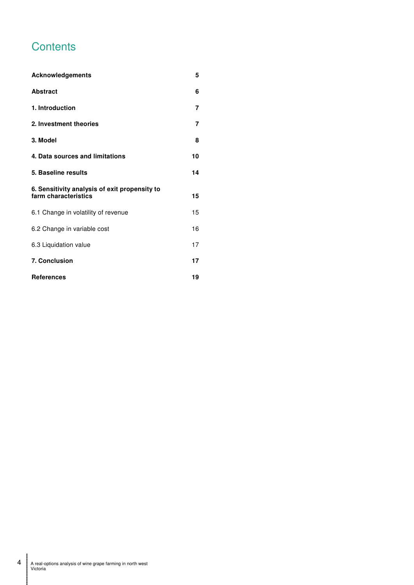# **Contents**

| Acknowledgements                                                      | 5  |
|-----------------------------------------------------------------------|----|
| <b>Abstract</b>                                                       | 6  |
| 1. Introduction                                                       | 7  |
| 2. Investment theories                                                | 7  |
| 3. Model                                                              | 8  |
| 4. Data sources and limitations                                       | 10 |
| 5. Baseline results                                                   | 14 |
| 6. Sensitivity analysis of exit propensity to<br>farm characteristics | 15 |
| 6.1 Change in volatility of revenue                                   | 15 |
| 6.2 Change in variable cost                                           | 16 |
| 6.3 Liquidation value                                                 | 17 |
| 7. Conclusion                                                         | 17 |
| <b>References</b>                                                     | 19 |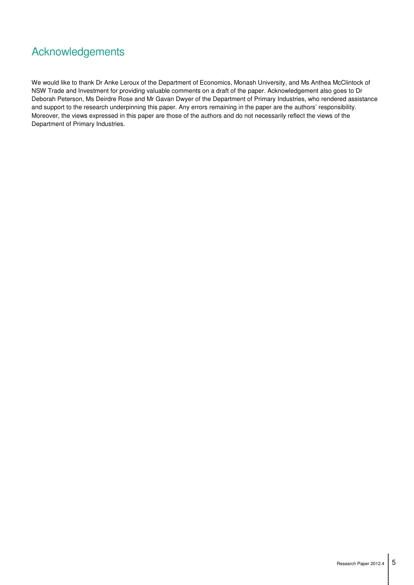# Acknowledgements

We would like to thank Dr Anke Leroux of the Department of Economics, Monash University, and Ms Anthea McClintock of NSW Trade and Investment for providing valuable comments on a draft of the paper. Acknowledgement also goes to Dr Deborah Peterson, Ms Deirdre Rose and Mr Gavan Dwyer of the Department of Primary Industries, who rendered assistance and support to the research underpinning this paper. Any errors remaining in the paper are the authors' responsibility. Moreover, the views expressed in this paper are those of the authors and do not necessarily reflect the views of the Department of Primary Industries.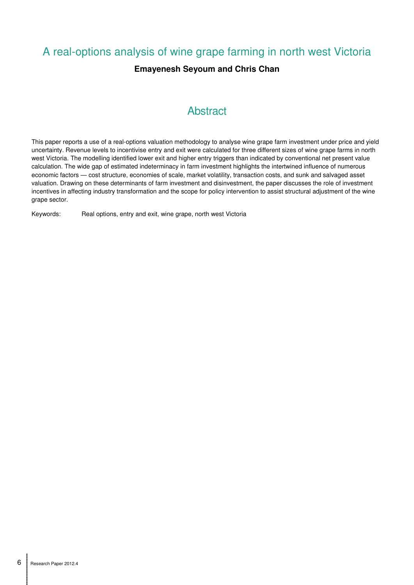# A real-options analysis of wine grape farming in north west Victoria

## **Emayenesh Seyoum and Chris Chan**

## **Abstract**

This paper reports a use of a real-options valuation methodology to analyse wine grape farm investment under price and yield uncertainty. Revenue levels to incentivise entry and exit were calculated for three different sizes of wine grape farms in north west Victoria. The modelling identified lower exit and higher entry triggers than indicated by conventional net present value calculation. The wide gap of estimated indeterminacy in farm investment highlights the intertwined influence of numerous economic factors — cost structure, economies of scale, market volatility, transaction costs, and sunk and salvaged asset valuation. Drawing on these determinants of farm investment and disinvestment, the paper discusses the role of investment incentives in affecting industry transformation and the scope for policy intervention to assist structural adjustment of the wine grape sector.

Keywords: Real options, entry and exit, wine grape, north west Victoria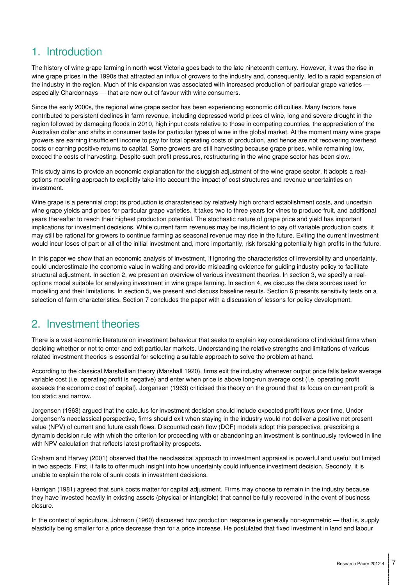# 1. Introduction

The history of wine grape farming in north west Victoria goes back to the late nineteenth century. However, it was the rise in wine grape prices in the 1990s that attracted an influx of growers to the industry and, consequently, led to a rapid expansion of the industry in the region. Much of this expansion was associated with increased production of particular grape varieties especially Chardonnays — that are now out of favour with wine consumers.

Since the early 2000s, the regional wine grape sector has been experiencing economic difficulties. Many factors have contributed to persistent declines in farm revenue, including depressed world prices of wine, long and severe drought in the region followed by damaging floods in 2010, high input costs relative to those in competing countries, the appreciation of the Australian dollar and shifts in consumer taste for particular types of wine in the global market. At the moment many wine grape growers are earning insufficient income to pay for total operating costs of production, and hence are not recovering overhead costs or earning positive returns to capital. Some growers are still harvesting because grape prices, while remaining low, exceed the costs of harvesting. Despite such profit pressures, restructuring in the wine grape sector has been slow.

This study aims to provide an economic explanation for the sluggish adjustment of the wine grape sector. It adopts a realoptions modelling approach to explicitly take into account the impact of cost structures and revenue uncertainties on investment.

Wine grape is a perennial crop; its production is characterised by relatively high orchard establishment costs, and uncertain wine grape yields and prices for particular grape varieties. It takes two to three years for vines to produce fruit, and additional years thereafter to reach their highest production potential. The stochastic nature of grape price and yield has important implications for investment decisions. While current farm revenues may be insufficient to pay off variable production costs, it may still be rational for growers to continue farming as seasonal revenue may rise in the future. Exiting the current investment would incur loses of part or all of the initial investment and, more importantly, risk forsaking potentially high profits in the future.

In this paper we show that an economic analysis of investment, if ignoring the characteristics of irreversibility and uncertainty, could underestimate the economic value in waiting and provide misleading evidence for guiding industry policy to facilitate structural adjustment. In section 2, we present an overview of various investment theories. In section 3, we specify a realoptions model suitable for analysing investment in wine grape farming. In section 4, we discuss the data sources used for modelling and their limitations. In section 5, we present and discuss baseline results. Section 6 presents sensitivity tests on a selection of farm characteristics. Section 7 concludes the paper with a discussion of lessons for policy development.

## 2. Investment theories

There is a vast economic literature on investment behaviour that seeks to explain key considerations of individual firms when deciding whether or not to enter and exit particular markets. Understanding the relative strengths and limitations of various related investment theories is essential for selecting a suitable approach to solve the problem at hand.

According to the classical Marshallian theory (Marshall 1920), firms exit the industry whenever output price falls below average variable cost (i.e. operating profit is negative) and enter when price is above long-run average cost (i.e. operating profit exceeds the economic cost of capital). Jorgensen (1963) criticised this theory on the ground that its focus on current profit is too static and narrow.

Jorgensen (1963) argued that the calculus for investment decision should include expected profit flows over time. Under Jorgensen's neoclassical perspective, firms should exit when staying in the industry would not deliver a positive net present value (NPV) of current and future cash flows. Discounted cash flow (DCF) models adopt this perspective, prescribing a dynamic decision rule with which the criterion for proceeding with or abandoning an investment is continuously reviewed in line with NPV calculation that reflects latest profitability prospects.

Graham and Harvey (2001) observed that the neoclassical approach to investment appraisal is powerful and useful but limited in two aspects. First, it fails to offer much insight into how uncertainty could influence investment decision. Secondly, it is unable to explain the role of sunk costs in investment decisions.

Harrigan (1981) agreed that sunk costs matter for capital adjustment. Firms may choose to remain in the industry because they have invested heavily in existing assets (physical or intangible) that cannot be fully recovered in the event of business closure.

In the context of agriculture, Johnson (1960) discussed how production response is generally non-symmetric — that is, supply elasticity being smaller for a price decrease than for a price increase. He postulated that fixed investment in land and labour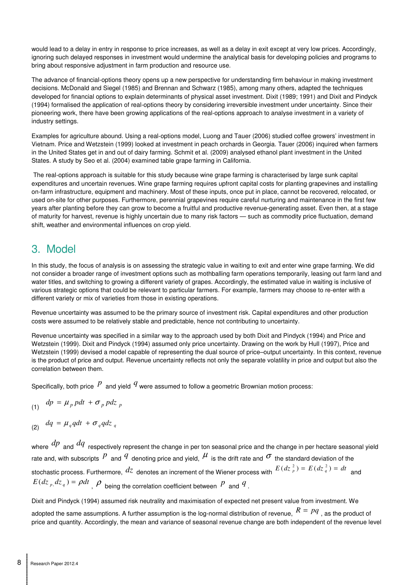would lead to a delay in entry in response to price increases, as well as a delay in exit except at very low prices. Accordingly, ignoring such delayed responses in investment would undermine the analytical basis for developing policies and programs to bring about responsive adjustment in farm production and resource use.

The advance of financial-options theory opens up a new perspective for understanding firm behaviour in making investment decisions. McDonald and Siegel (1985) and Brennan and Schwarz (1985), among many others, adapted the techniques developed for financial options to explain determinants of physical asset investment. Dixit (1989; 1991) and Dixit and Pindyck (1994) formalised the application of real-options theory by considering irreversible investment under uncertainty. Since their pioneering work, there have been growing applications of the real-options approach to analyse investment in a variety of industry settings.

Examples for agriculture abound. Using a real-options model, Luong and Tauer (2006) studied coffee growers' investment in Vietnam. Price and Wetzstein (1999) looked at investment in peach orchards in Georgia. Tauer (2006) inquired when farmers in the United States get in and out of dairy farming. Schmit et al. (2009) analysed ethanol plant investment in the United States. A study by Seo et al. (2004) examined table grape farming in California.

 The real-options approach is suitable for this study because wine grape farming is characterised by large sunk capital expenditures and uncertain revenues. Wine grape farming requires upfront capital costs for planting grapevines and installing on-farm infrastructure, equipment and machinery. Most of these inputs, once put in place, cannot be recovered, relocated, or used on-site for other purposes. Furthermore, perennial grapevines require careful nurturing and maintenance in the first few years after planting before they can grow to become a fruitful and productive revenue-generating asset. Even then, at a stage of maturity for harvest, revenue is highly uncertain due to many risk factors — such as commodity price fluctuation, demand shift, weather and environmental influences on crop yield.

# 3. Model

In this study, the focus of analysis is on assessing the strategic value in waiting to exit and enter wine grape farming. We did not consider a broader range of investment options such as mothballing farm operations temporarily, leasing out farm land and water titles, and switching to growing a different variety of grapes. Accordingly, the estimated value in waiting is inclusive of various strategic options that could be relevant to particular farmers. For example, farmers may choose to re-enter with a different variety or mix of varieties from those in existing operations.

Revenue uncertainty was assumed to be the primary source of investment risk. Capital expenditures and other production costs were assumed to be relatively stable and predictable, hence not contributing to uncertainty.

Revenue uncertainty was specified in a similar way to the approach used by both Dixit and Pindyck (1994) and Price and Wetzstein (1999). Dixit and Pindyck (1994) assumed only price uncertainty. Drawing on the work by Hull (1997), Price and Wetzstein (1999) devised a model capable of representing the dual source of price–output uncertainty. In this context, revenue is the product of price and output. Revenue uncertainty reflects not only the separate volatility in price and output but also the correlation between them.

Specifically, both price  $P$  and yield  $q$  were assumed to follow a geometric Brownian motion process:

$$
(1) \quad dp = \mu_p \, p dt + \sigma_p \, p dz_p
$$

(2)  $dq = \mu_q q dt + \sigma_q q dz_q$ 

where  $dp$  and  $dq$  respectively represent the change in per ton seasonal price and the change in per hectare seasonal yield rate and, with subscripts  $P$  and  $q$  denoting price and yield,  $\mu$  is the drift rate and  $\sigma$  the standard deviation of the stochastic process. Furthermore,  $dz$  denotes an increment of the Wiener process with  $E(dz_p^2) = E(dz_q^2) = dt$  and  $E(dz_p, dz_q) = \rho dt$ ,  $\rho$  being the correlation coefficient between *P* and *q*.

Dixit and Pindyck (1994) assumed risk neutrality and maximisation of expected net present value from investment. We

adopted the same assumptions. A further assumption is the log-normal distribution of revenue,  $R = pq$  , as the product of price and quantity. Accordingly, the mean and variance of seasonal revenue change are both independent of the revenue level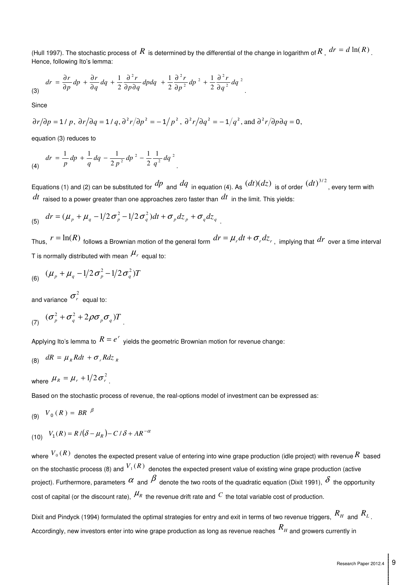(Hull 1997). The stochastic process of  $R$  is determined by the differential of the change in logarithm of  $R$  ,  $dr = d \ln(R)$  . Hence, following Ito's lemma:

$$
dr = \frac{\partial r}{\partial p} dp + \frac{\partial r}{\partial q} dq + \frac{1}{2} \frac{\partial^2 r}{\partial p \partial q} dp dq + \frac{1}{2} \frac{\partial^2 r}{\partial p^2} dp^2 + \frac{1}{2} \frac{\partial^2 r}{\partial q^2} dq^2
$$

**Since** 

$$
\partial r/\partial p = 1/p
$$
,  $\partial r/\partial q = 1/q$ ,  $\partial^2 r/\partial p^2 = -1/p^2$ ,  $\partial^2 r/\partial q^2 = -1/q^2$ , and  $\partial^2 r/\partial p \partial q = 0$ ,

equation (3) reduces to

$$
dr = \frac{1}{p} dp + \frac{1}{q} dq - \frac{1}{2 p^2} dp^2 - \frac{1}{2} \frac{1}{q^2} dq^2
$$

Equations (1) and (2) can be substituted for  $dp$  and  $dq$  in equation (4). As  $(dt)(dz)$  is of order  $(dt)^{3/2}$ , every term with *dt* raised to a power greater than one approaches zero faster than *dt* in the limit. This yields:

(5) 
$$
dr = (\mu_p + \mu_q - 1/2 \sigma_p^2 - 1/2 \sigma_q^2)dt + \sigma_p dz_p + \sigma_q dz_q
$$
.

Thus,  $r = \ln(R)$  follows a Brownian motion of the general form  $dr = \mu_r dt + \sigma_r dz_r$ , implying that  $dr$  over a time interval T is normally distributed with mean  $\mu_r$  equal to:

(6) 
$$
(\mu_p + \mu_q - 1/2 \sigma_p^2 - 1/2 \sigma_q^2)T
$$

and variance  $\sigma_r^2$  equal to:

$$
(7) \quad (\sigma_p^2 + \sigma_q^2 + 2\rho\sigma_p\sigma_q)T
$$

Applying Ito's lemma to  $R = e^r$  yields the geometric Brownian motion for revenue change:

$$
(8) \quad dR = \mu_R R dt + \sigma_r R dz_R
$$

where  $\mu_R = \mu_r + 1/2 \sigma_r^2$ .

Based on the stochastic process of revenue, the real-options model of investment can be expressed as:

$$
(9) V_0(R) = BR^{\beta}
$$

(10) 
$$
V_1(R) = R/(\delta - \mu_R) - C/\delta + AR^{-\alpha}
$$

where  $^{V_0(R)}$  denotes the expected present value of entering into wine grape production (idle project) with revenue  $R$  based on the stochastic process (8) and  $V_1(R)$  denotes the expected present value of existing wine grape production (active project). Furthermore, parameters  $\alpha$  and  $\beta$  denote the two roots of the quadratic equation (Dixit 1991),  $\delta$  the opportunity cost of capital (or the discount rate),  $\mu_R$  the revenue drift rate and  $C$  the total variable cost of production.

Dixit and Pindyck (1994) formulated the optimal strategies for entry and exit in terms of two revenue triggers, *R<sup>H</sup>* and *R<sup>L</sup>* . Accordingly, new investors enter into wine grape production as long as revenue reaches *R<sup>H</sup>* and growers currently in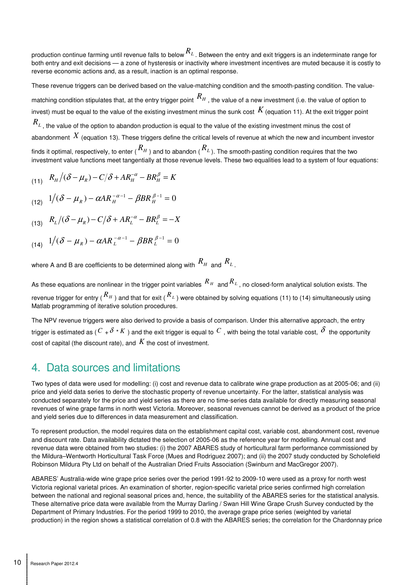production continue farming until revenue falls to below *R<sup>L</sup>* . Between the entry and exit triggers is an indeterminate range for both entry and exit decisions — a zone of hysteresis or inactivity where investment incentives are muted because it is costly to reverse economic actions and, as a result, inaction is an optimal response.

These revenue triggers can be derived based on the value-matching condition and the smooth-pasting condition. The valuematching condition stipulates that, at the entry trigger point *R<sup>H</sup>* , the value of a new investment (i.e. the value of option to invest) must be equal to the value of the existing investment minus the sunk cost  $K$  (equation 11). At the exit trigger point  $R_L$ , the value of the option to abandon production is equal to the value of the existing investment minus the cost of abandonment  $X$  (equation 13). These triggers define the critical levels of revenue at which the new and incumbent investor finds it optimal, respectively, to enter ( $R_H$ ) and to abandon ( $R_L$ ). The smooth-pasting condition requires that the two investment value functions meet tangentially at those revenue levels. These two equalities lead to a system of four equations:

$$
(11) \quad R_H/(\delta - \mu_R) - C/\delta + AR_H^{-\alpha} - BR_H^{\beta} = K
$$

(12) 
$$
1/(\delta - \mu_R) - \alpha AR_{H}^{-\alpha - 1} - \beta BR_{H}^{\beta - 1} = 0
$$

(13) 
$$
R_L/(\delta - \mu_R) - C/\delta + AR_L^{-\alpha} - BR_L^{\beta} = -X
$$

(14) 
$$
1/(\delta - \mu_R) - \alpha AR_L^{-\alpha - 1} - \beta BR_L^{\beta - 1} = 0
$$

where A and B are coefficients to be determined along with  $R_H$  and  $R_L$  .

As these equations are nonlinear in the trigger point variables *R <sup>H</sup>* and *R<sup>L</sup>* , no closed-form analytical solution exists. The revenue trigger for entry ( *R <sup>H</sup>* ) and that for exit ( *<sup>R</sup><sup>L</sup>* ) were obtained by solving equations (11) to (14) simultaneously using Matlab programming of iterative solution procedures.

The NPV revenue triggers were also derived to provide a basis of comparison. Under this alternative approach, the entry trigger is estimated as ( $C_+ \delta K$ ) and the exit trigger is equal to  $C$ , with being the total variable cost,  $\delta$  the opportunity cost of capital (the discount rate), and *K* the cost of investment.

## 4. Data sources and limitations

Two types of data were used for modelling: (i) cost and revenue data to calibrate wine grape production as at 2005-06; and (ii) price and yield data series to derive the stochastic property of revenue uncertainty. For the latter, statistical analysis was conducted separately for the price and yield series as there are no time-series data available for directly measuring seasonal revenues of wine grape farms in north west Victoria. Moreover, seasonal revenues cannot be derived as a product of the price and yield series due to differences in data measurement and classification.

To represent production, the model requires data on the establishment capital cost, variable cost, abandonment cost, revenue and discount rate. Data availability dictated the selection of 2005-06 as the reference year for modelling. Annual cost and revenue data were obtained from two studies: (i) the 2007 ABARES study of horticultural farm performance commissioned by the Mildura–Wentworth Horticultural Task Force (Mues and Rodriguez 2007); and (ii) the 2007 study conducted by Scholefield Robinson Mildura Pty Ltd on behalf of the Australian Dried Fruits Association (Swinburn and MacGregor 2007).

ABARES' Australia-wide wine grape price series over the period 1991-92 to 2009-10 were used as a proxy for north west Victoria regional varietal prices. An examination of shorter, region-specific varietal price series confirmed high correlation between the national and regional seasonal prices and, hence, the suitability of the ABARES series for the statistical analysis. These alternative price data were available from the Murray Darling / Swan Hill Wine Grape Crush Survey conducted by the Department of Primary Industries. For the period 1999 to 2010, the average grape price series (weighted by varietal production) in the region shows a statistical correlation of 0.8 with the ABARES series; the correlation for the Chardonnay price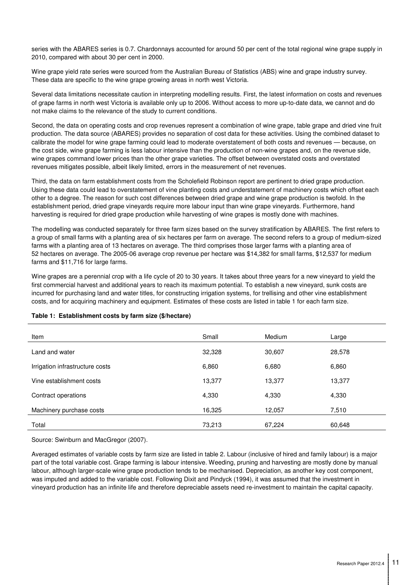series with the ABARES series is 0.7. Chardonnays accounted for around 50 per cent of the total regional wine grape supply in 2010, compared with about 30 per cent in 2000.

Wine grape yield rate series were sourced from the Australian Bureau of Statistics (ABS) wine and grape industry survey. These data are specific to the wine grape growing areas in north west Victoria.

Several data limitations necessitate caution in interpreting modelling results. First, the latest information on costs and revenues of grape farms in north west Victoria is available only up to 2006. Without access to more up-to-date data, we cannot and do not make claims to the relevance of the study to current conditions.

Second, the data on operating costs and crop revenues represent a combination of wine grape, table grape and dried vine fruit production. The data source (ABARES) provides no separation of cost data for these activities. Using the combined dataset to calibrate the model for wine grape farming could lead to moderate overstatement of both costs and revenues — because, on the cost side, wine grape farming is less labour intensive than the production of non-wine grapes and, on the revenue side, wine grapes command lower prices than the other grape varieties. The offset between overstated costs and overstated revenues mitigates possible, albeit likely limited, errors in the measurement of net revenues.

Third, the data on farm establishment costs from the Scholefield Robinson report are pertinent to dried grape production. Using these data could lead to overstatement of vine planting costs and understatement of machinery costs which offset each other to a degree. The reason for such cost differences between dried grape and wine grape production is twofold. In the establishment period, dried grape vineyards require more labour input than wine grape vineyards. Furthermore, hand harvesting is required for dried grape production while harvesting of wine grapes is mostly done with machines.

The modelling was conducted separately for three farm sizes based on the survey stratification by ABARES. The first refers to a group of small farms with a planting area of six hectares per farm on average. The second refers to a group of medium-sized farms with a planting area of 13 hectares on average. The third comprises those larger farms with a planting area of 52 hectares on average. The 2005-06 average crop revenue per hectare was \$14,382 for small farms, \$12,537 for medium farms and \$11,716 for large farms.

Wine grapes are a perennial crop with a life cycle of 20 to 30 years. It takes about three years for a new vineyard to yield the first commercial harvest and additional years to reach its maximum potential. To establish a new vineyard, sunk costs are incurred for purchasing land and water titles, for constructing irrigation systems, for trellising and other vine establishment costs, and for acquiring machinery and equipment. Estimates of these costs are listed in table 1 for each farm size.

| Table 1: Establishment costs by farm size (\$/hectare) |  |  |  |
|--------------------------------------------------------|--|--|--|
|                                                        |  |  |  |

| Item                            | Small  | Medium | Large  |
|---------------------------------|--------|--------|--------|
| Land and water                  | 32,328 | 30,607 | 28,578 |
| Irrigation infrastructure costs | 6,860  | 6,680  | 6,860  |
| Vine establishment costs        | 13,377 | 13,377 | 13,377 |
| Contract operations             | 4,330  | 4,330  | 4,330  |
| Machinery purchase costs        | 16,325 | 12,057 | 7,510  |
| Total                           | 73,213 | 67,224 | 60,648 |

Source: Swinburn and MacGregor (2007).

Averaged estimates of variable costs by farm size are listed in table 2. Labour (inclusive of hired and family labour) is a major part of the total variable cost. Grape farming is labour intensive. Weeding, pruning and harvesting are mostly done by manual labour, although larger-scale wine grape production tends to be mechanised. Depreciation, as another key cost component, was imputed and added to the variable cost. Following Dixit and Pindyck (1994), it was assumed that the investment in vineyard production has an infinite life and therefore depreciable assets need re-investment to maintain the capital capacity.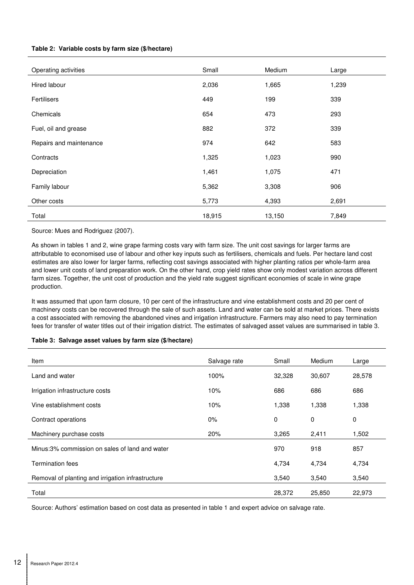### **Table 2: Variable costs by farm size (\$/hectare)**

| Operating activities    | Small  | Medium | Large |
|-------------------------|--------|--------|-------|
| Hired labour            | 2,036  | 1,665  | 1,239 |
| Fertilisers             | 449    | 199    | 339   |
| Chemicals               | 654    | 473    | 293   |
| Fuel, oil and grease    | 882    | 372    | 339   |
| Repairs and maintenance | 974    | 642    | 583   |
| Contracts               | 1,325  | 1,023  | 990   |
| Depreciation            | 1,461  | 1,075  | 471   |
| Family labour           | 5,362  | 3,308  | 906   |
| Other costs             | 5,773  | 4,393  | 2,691 |
| Total                   | 18,915 | 13,150 | 7,849 |

Source: Mues and Rodriguez (2007).

As shown in tables 1 and 2, wine grape farming costs vary with farm size. The unit cost savings for larger farms are attributable to economised use of labour and other key inputs such as fertilisers, chemicals and fuels. Per hectare land cost estimates are also lower for larger farms, reflecting cost savings associated with higher planting ratios per whole-farm area and lower unit costs of land preparation work. On the other hand, crop yield rates show only modest variation across different farm sizes. Together, the unit cost of production and the yield rate suggest significant economies of scale in wine grape production.

It was assumed that upon farm closure, 10 per cent of the infrastructure and vine establishment costs and 20 per cent of machinery costs can be recovered through the sale of such assets. Land and water can be sold at market prices. There exists a cost associated with removing the abandoned vines and irrigation infrastructure. Farmers may also need to pay termination fees for transfer of water titles out of their irrigation district. The estimates of salvaged asset values are summarised in table 3.

#### **Table 3: Salvage asset values by farm size (\$/hectare)**

| Item                                              | Salvage rate | Small  | Medium      | Large  |
|---------------------------------------------------|--------------|--------|-------------|--------|
| Land and water                                    | 100%         | 32,328 | 30,607      | 28,578 |
| Irrigation infrastructure costs                   | 10%          | 686    | 686         | 686    |
| Vine establishment costs                          | 10%          | 1,338  | 1,338       | 1,338  |
| Contract operations                               | $0\%$        | 0      | $\mathbf 0$ | 0      |
| Machinery purchase costs                          | 20%          | 3,265  | 2,411       | 1,502  |
| Minus:3% commission on sales of land and water    |              | 970    | 918         | 857    |
| <b>Termination fees</b>                           |              | 4,734  | 4,734       | 4,734  |
| Removal of planting and irrigation infrastructure |              | 3,540  | 3,540       | 3,540  |
| Total                                             |              | 28,372 | 25,850      | 22,973 |

Source: Authors' estimation based on cost data as presented in table 1 and expert advice on salvage rate.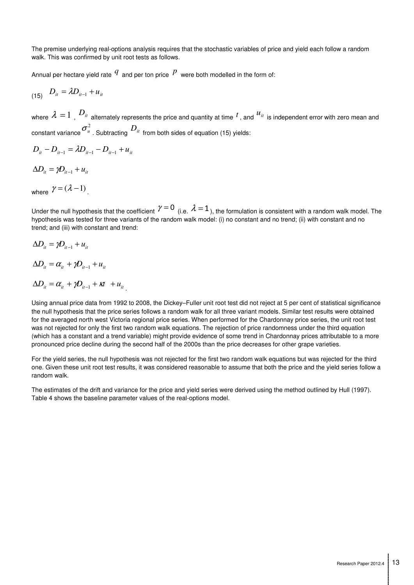The premise underlying real-options analysis requires that the stochastic variables of price and yield each follow a random walk. This was confirmed by unit root tests as follows.

Annual per hectare yield rate  $q$  and per ton price  $p$  were both modelled in the form of:

$$
D_{it} = \lambda D_{it-1} + u_{it}
$$

where  $\lambda = 1$  ,  $D_{it}$  alternately represents the price and quantity at time  $^t$  , and  $^{\mathcal{U}_{it}}$  is independent error with zero mean and constant variance  $\sigma^2_{\mu}$  . Subtracting  $D_{\mu}$  from both sides of equation (15) yields:

$$
D_{it} - D_{it-1} = \lambda D_{it-1} - D_{it-1} + u_{it}
$$

 $\Delta D_{it} = \gamma D_{it-1} + u_{it}$ 

where  $\gamma = (\lambda - 1)$ .

Under the null hypothesis that the coefficient  $\gamma=0$  (i.e.  $\lambda=1$ ), the formulation is consistent with a random walk model. The hypothesis was tested for three variants of the random walk model: (i) no constant and no trend; (ii) with constant and no trend; and (iii) with constant and trend:

$$
\Delta D_{it} = \gamma D_{it-1} + u_{it}
$$

$$
\Delta D_{it} = \alpha_{it} + \gamma D_{it-1} + u_{it}
$$

$$
\Delta D_{it} = \alpha_{it} + \gamma D_{it-1} + \kappa t + u_{it}.
$$

Using annual price data from 1992 to 2008, the Dickey–Fuller unit root test did not reject at 5 per cent of statistical significance the null hypothesis that the price series follows a random walk for all three variant models. Similar test results were obtained for the averaged north west Victoria regional price series. When performed for the Chardonnay price series, the unit root test was not rejected for only the first two random walk equations. The rejection of price randomness under the third equation (which has a constant and a trend variable) might provide evidence of some trend in Chardonnay prices attributable to a more pronounced price decline during the second half of the 2000s than the price decreases for other grape varieties.

For the yield series, the null hypothesis was not rejected for the first two random walk equations but was rejected for the third one. Given these unit root test results, it was considered reasonable to assume that both the price and the yield series follow a random walk.

The estimates of the drift and variance for the price and yield series were derived using the method outlined by Hull (1997). Table 4 shows the baseline parameter values of the real-options model.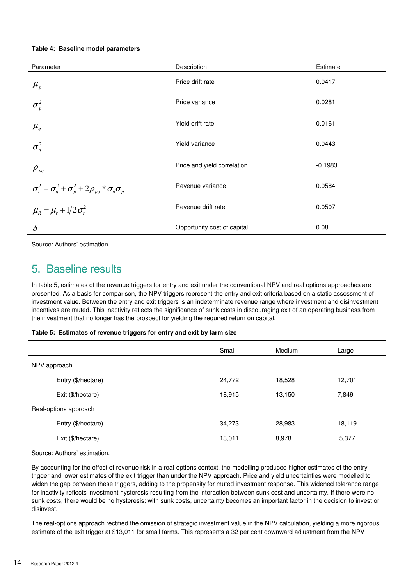|  |  |  | Table 4: Baseline model parameters |
|--|--|--|------------------------------------|
|--|--|--|------------------------------------|

| Parameter                                                               | Description                 | Estimate  |
|-------------------------------------------------------------------------|-----------------------------|-----------|
| $\mu_{p}$                                                               | Price drift rate            | 0.0417    |
| $\sigma_p^2$                                                            | Price variance              | 0.0281    |
| $\mu_q$                                                                 | Yield drift rate            | 0.0161    |
| $\sigma_q^2$                                                            | Yield variance              | 0.0443    |
| $\rho_{pq}$                                                             | Price and yield correlation | $-0.1983$ |
| $\sigma_r^2 = \sigma_q^2 + \sigma_p^2 + 2\rho_{pq} * \sigma_q \sigma_p$ | Revenue variance            | 0.0584    |
| $\mu_{R} = \mu_{r} + 1/2 \sigma_{r}^{2}$                                | Revenue drift rate          | 0.0507    |
| $\delta$                                                                | Opportunity cost of capital | 0.08      |

Source: Authors' estimation.

## 5. Baseline results

In table 5, estimates of the revenue triggers for entry and exit under the conventional NPV and real options approaches are presented. As a basis for comparison, the NPV triggers represent the entry and exit criteria based on a static assessment of investment value. Between the entry and exit triggers is an indeterminate revenue range where investment and disinvestment incentives are muted. This inactivity reflects the significance of sunk costs in discouraging exit of an operating business from the investment that no longer has the prospect for yielding the required return on capital.

#### **Table 5: Estimates of revenue triggers for entry and exit by farm size**

|              |                       | Small  | Medium | Large  |
|--------------|-----------------------|--------|--------|--------|
| NPV approach |                       |        |        |        |
|              | Entry (\$/hectare)    | 24,772 | 18,528 | 12,701 |
|              | Exit (\$/hectare)     | 18,915 | 13,150 | 7,849  |
|              | Real-options approach |        |        |        |
|              | Entry (\$/hectare)    | 34,273 | 28,983 | 18,119 |
|              | Exit (\$/hectare)     | 13,011 | 8,978  | 5,377  |

Source: Authors' estimation.

By accounting for the effect of revenue risk in a real-options context, the modelling produced higher estimates of the entry trigger and lower estimates of the exit trigger than under the NPV approach. Price and yield uncertainties were modelled to widen the gap between these triggers, adding to the propensity for muted investment response. This widened tolerance range for inactivity reflects investment hysteresis resulting from the interaction between sunk cost and uncertainty. If there were no sunk costs, there would be no hysteresis; with sunk costs, uncertainty becomes an important factor in the decision to invest or disinvest.

The real-options approach rectified the omission of strategic investment value in the NPV calculation, yielding a more rigorous estimate of the exit trigger at \$13,011 for small farms. This represents a 32 per cent downward adjustment from the NPV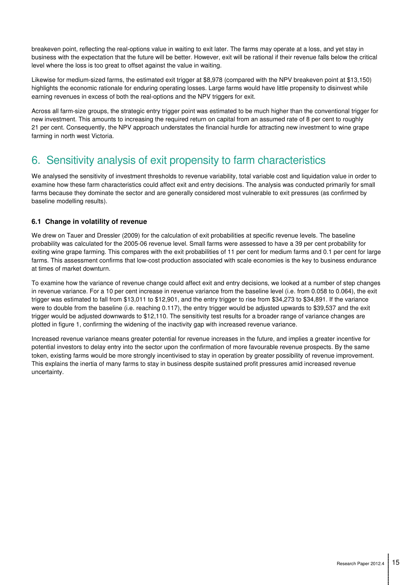breakeven point, reflecting the real-options value in waiting to exit later. The farms may operate at a loss, and yet stay in business with the expectation that the future will be better. However, exit will be rational if their revenue falls below the critical level where the loss is too great to offset against the value in waiting.

Likewise for medium-sized farms, the estimated exit trigger at \$8,978 (compared with the NPV breakeven point at \$13,150) highlights the economic rationale for enduring operating losses. Large farms would have little propensity to disinvest while earning revenues in excess of both the real-options and the NPV triggers for exit.

Across all farm-size groups, the strategic entry trigger point was estimated to be much higher than the conventional trigger for new investment. This amounts to increasing the required return on capital from an assumed rate of 8 per cent to roughly 21 per cent. Consequently, the NPV approach understates the financial hurdle for attracting new investment to wine grape farming in north west Victoria.

# 6. Sensitivity analysis of exit propensity to farm characteristics

We analysed the sensitivity of investment thresholds to revenue variability, total variable cost and liquidation value in order to examine how these farm characteristics could affect exit and entry decisions. The analysis was conducted primarily for small farms because they dominate the sector and are generally considered most vulnerable to exit pressures (as confirmed by baseline modelling results).

## **6.1 Change in volatility of revenue**

We drew on Tauer and Dressler (2009) for the calculation of exit probabilities at specific revenue levels. The baseline probability was calculated for the 2005-06 revenue level. Small farms were assessed to have a 39 per cent probability for exiting wine grape farming. This compares with the exit probabilities of 11 per cent for medium farms and 0.1 per cent for large farms. This assessment confirms that low-cost production associated with scale economies is the key to business endurance at times of market downturn.

To examine how the variance of revenue change could affect exit and entry decisions, we looked at a number of step changes in revenue variance. For a 10 per cent increase in revenue variance from the baseline level (i.e. from 0.058 to 0.064), the exit trigger was estimated to fall from \$13,011 to \$12,901, and the entry trigger to rise from \$34,273 to \$34,891. If the variance were to double from the baseline (i.e. reaching 0.117), the entry trigger would be adjusted upwards to \$39,537 and the exit trigger would be adjusted downwards to \$12,110. The sensitivity test results for a broader range of variance changes are plotted in figure 1, confirming the widening of the inactivity gap with increased revenue variance.

Increased revenue variance means greater potential for revenue increases in the future, and implies a greater incentive for potential investors to delay entry into the sector upon the confirmation of more favourable revenue prospects. By the same token, existing farms would be more strongly incentivised to stay in operation by greater possibility of revenue improvement. This explains the inertia of many farms to stay in business despite sustained profit pressures amid increased revenue uncertainty.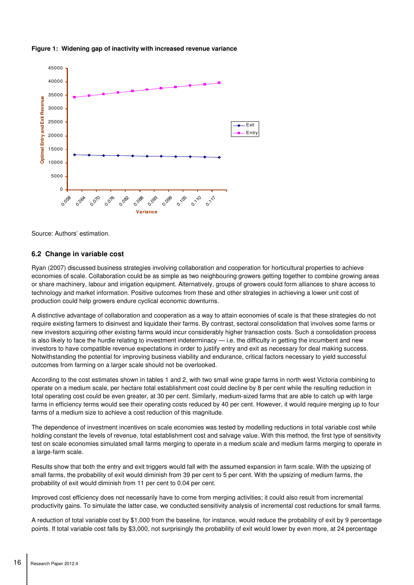



Source: Authors' estimation.

### **6.2 Change in variable cost**

Ryan (2007) discussed business strategies involving collaboration and cooperation for horticultural properties to achieve economies of scale. Collaboration could be as simple as two neighbouring growers getting together to combine growing areas or share machinery, labour and irrigation equipment. Alternatively, groups of growers could form alliances to share access to technology and market information. Positive outcomes from these and other strategies in achieving a lower unit cost of production could help growers endure cyclical economic downturns.

A distinctive advantage of collaboration and cooperation as a way to attain economies of scale is that these strategies do not require existing farmers to disinvest and liquidate their farms. By contrast, sectoral consolidation that involves some farms or new investors acquiring other existing farms would incur considerably higher transaction costs. Such a consolidation process is also likely to face the hurdle relating to investment indeterminacy — i.e. the difficulty in getting the incumbent and new investors to have compatible revenue expectations in order to justify entry and exit as necessary for deal making success. Notwithstanding the potential for improving business viability and endurance, critical factors necessary to yield successful outcomes from farming on a larger scale should not be overlooked.

According to the cost estimates shown in tables 1 and 2, with two small wine grape farms in north west Victoria combining to operate on a medium scale, per hectare total establishment cost could decline by 8 per cent while the resulting reduction in total operating cost could be even greater, at 30 per cent. Similarly, medium-sized farms that are able to catch up with large farms in efficiency terms would see their operating costs reduced by 40 per cent. However, it would require merging up to four farms of a medium size to achieve a cost reduction of this magnitude.

The dependence of investment incentives on scale economies was tested by modelling reductions in total variable cost while holding constant the levels of revenue, total establishment cost and salvage value. With this method, the first type of sensitivity test on scale economies simulated small farms merging to operate in a medium scale and medium farms merging to operate in a large-farm scale.

Results show that both the entry and exit triggers would fall with the assumed expansion in farm scale. With the upsizing of small farms, the probability of exit would diminish from 39 per cent to 5 per cent. With the upsizing of medium farms, the probability of exit would diminish from 11 per cent to 0.04 per cent.

Improved cost efficiency does not necessarily have to come from merging activities; it could also result from incremental productivity gains. To simulate the latter case, we conducted sensitivity analysis of incremental cost reductions for small farms.

A reduction of total variable cost by \$1,000 from the baseline, for instance, would reduce the probability of exit by 9 percentage points. If total variable cost falls by \$3,000, not surprisingly the probability of exit would lower by even more, at 24 percentage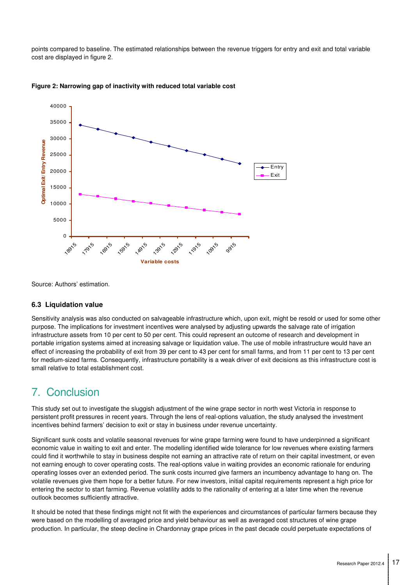points compared to baseline. The estimated relationships between the revenue triggers for entry and exit and total variable cost are displayed in figure 2.





Source: Authors' estimation.

#### **6.3 Liquidation value**

Sensitivity analysis was also conducted on salvageable infrastructure which, upon exit, might be resold or used for some other purpose. The implications for investment incentives were analysed by adjusting upwards the salvage rate of irrigation infrastructure assets from 10 per cent to 50 per cent. This could represent an outcome of research and development in portable irrigation systems aimed at increasing salvage or liquidation value. The use of mobile infrastructure would have an effect of increasing the probability of exit from 39 per cent to 43 per cent for small farms, and from 11 per cent to 13 per cent for medium-sized farms. Consequently, infrastructure portability is a weak driver of exit decisions as this infrastructure cost is small relative to total establishment cost.

# 7. Conclusion

This study set out to investigate the sluggish adjustment of the wine grape sector in north west Victoria in response to persistent profit pressures in recent years. Through the lens of real-options valuation, the study analysed the investment incentives behind farmers' decision to exit or stay in business under revenue uncertainty.

Significant sunk costs and volatile seasonal revenues for wine grape farming were found to have underpinned a significant economic value in waiting to exit and enter. The modelling identified wide tolerance for low revenues where existing farmers could find it worthwhile to stay in business despite not earning an attractive rate of return on their capital investment, or even not earning enough to cover operating costs. The real-options value in waiting provides an economic rationale for enduring operating losses over an extended period. The sunk costs incurred give farmers an incumbency advantage to hang on. The volatile revenues give them hope for a better future. For new investors, initial capital requirements represent a high price for entering the sector to start farming. Revenue volatility adds to the rationality of entering at a later time when the revenue outlook becomes sufficiently attractive.

It should be noted that these findings might not fit with the experiences and circumstances of particular farmers because they were based on the modelling of averaged price and yield behaviour as well as averaged cost structures of wine grape production. In particular, the steep decline in Chardonnay grape prices in the past decade could perpetuate expectations of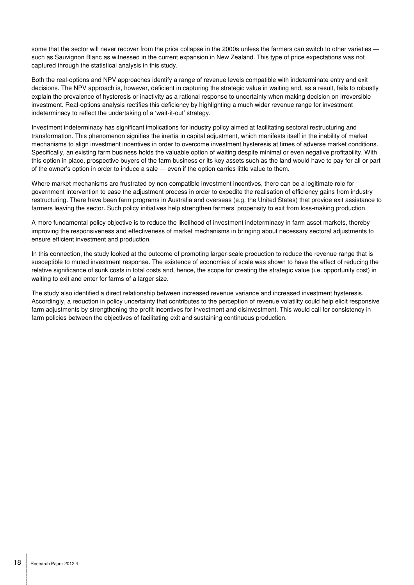some that the sector will never recover from the price collapse in the 2000s unless the farmers can switch to other varieties such as Sauvignon Blanc as witnessed in the current expansion in New Zealand. This type of price expectations was not captured through the statistical analysis in this study.

Both the real-options and NPV approaches identify a range of revenue levels compatible with indeterminate entry and exit decisions. The NPV approach is, however, deficient in capturing the strategic value in waiting and, as a result, fails to robustly explain the prevalence of hysteresis or inactivity as a rational response to uncertainty when making decision on irreversible investment. Real-options analysis rectifies this deficiency by highlighting a much wider revenue range for investment indeterminacy to reflect the undertaking of a 'wait-it-out' strategy.

Investment indeterminacy has significant implications for industry policy aimed at facilitating sectoral restructuring and transformation. This phenomenon signifies the inertia in capital adjustment, which manifests itself in the inability of market mechanisms to align investment incentives in order to overcome investment hysteresis at times of adverse market conditions. Specifically, an existing farm business holds the valuable option of waiting despite minimal or even negative profitability. With this option in place, prospective buyers of the farm business or its key assets such as the land would have to pay for all or part of the owner's option in order to induce a sale — even if the option carries little value to them.

Where market mechanisms are frustrated by non-compatible investment incentives, there can be a legitimate role for government intervention to ease the adjustment process in order to expedite the realisation of efficiency gains from industry restructuring. There have been farm programs in Australia and overseas (e.g. the United States) that provide exit assistance to farmers leaving the sector. Such policy initiatives help strengthen farmers' propensity to exit from loss-making production.

A more fundamental policy objective is to reduce the likelihood of investment indeterminacy in farm asset markets, thereby improving the responsiveness and effectiveness of market mechanisms in bringing about necessary sectoral adjustments to ensure efficient investment and production.

In this connection, the study looked at the outcome of promoting larger-scale production to reduce the revenue range that is susceptible to muted investment response. The existence of economies of scale was shown to have the effect of reducing the relative significance of sunk costs in total costs and, hence, the scope for creating the strategic value (i.e. opportunity cost) in waiting to exit and enter for farms of a larger size.

The study also identified a direct relationship between increased revenue variance and increased investment hysteresis. Accordingly, a reduction in policy uncertainty that contributes to the perception of revenue volatility could help elicit responsive farm adjustments by strengthening the profit incentives for investment and disinvestment. This would call for consistency in farm policies between the objectives of facilitating exit and sustaining continuous production.